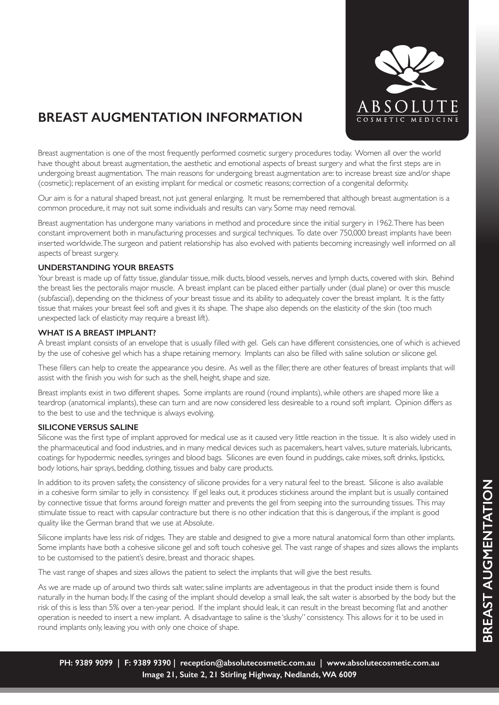

# **BREAST AUGMENTATION INFORMATION**

Breast augmentation is one of the most frequently performed cosmetic surgery procedures today. Women all over the world have thought about breast augmentation, the aesthetic and emotional aspects of breast surgery and what the first steps are in undergoing breast augmentation. The main reasons for undergoing breast augmentation are: to increase breast size and/or shape (cosmetic); replacement of an existing implant for medical or cosmetic reasons; correction of a congenital deformity.

Our aim is for a natural shaped breast, not just general enlarging. It must be remembered that although breast augmentation is a common procedure, it may not suit some individuals and results can vary. Some may need removal.

Breast augmentation has undergone many variations in method and procedure since the initial surgery in 1962. There has been constant improvement both in manufacturing processes and surgical techniques. To date over 750,000 breast implants have been inserted worldwide. The surgeon and patient relationship has also evolved with patients becoming increasingly well informed on all aspects of breast surgery.

#### **UNDERSTANDING YOUR BREASTS**

Your breast is made up of fatty tissue, glandular tissue, milk ducts, blood vessels, nerves and lymph ducts, covered with skin. Behind the breast lies the pectoralis major muscle. A breast implant can be placed either partially under (dual plane) or over this muscle (subfascial), depending on the thickness of your breast tissue and its ability to adequately cover the breast implant. It is the fatty tissue that makes your breast feel soft and gives it its shape. The shape also depends on the elasticity of the skin (too much unexpected lack of elasticity may require a breast lift).

#### **WHAT IS A BREAST IMPLANT?**

A breast implant consists of an envelope that is usually filled with gel. Gels can have different consistencies, one of which is achieved by the use of cohesive gel which has a shape retaining memory. Implants can also be filled with saline solution or silicone gel.

These fillers can help to create the appearance you desire. As well as the filler, there are other features of breast implants that will assist with the finish you wish for such as the shell, height, shape and size.

Breast implants exist in two different shapes. Some implants are round (round implants), while others are shaped more like a teardrop (anatomical implants), these can turn and are now considered less desireable to a round soft implant. Opinion differs as to the best to use and the technique is always evolving.

### **SILICONE VERSUS SALINE**

Silicone was the first type of implant approved for medical use as it caused very little reaction in the tissue. It is also widely used in the pharmaceutical and food industries, and in many medical devices such as pacemakers, heart valves, suture materials, lubricants, coatings for hypodermic needles, syringes and blood bags. Silicones are even found in puddings, cake mixes, soft drinks, lipsticks, body lotions, hair sprays, bedding, clothing, tissues and baby care products.

In addition to its proven safety, the consistency of silicone provides for a very natural feel to the breast. Silicone is also available in a cohesive form similar to jelly in consistency. If gel leaks out, it produces stickiness around the implant but is usually contained by connective tissue that forms around foreign matter and prevents the gel from seeping into the surrounding tissues. This may stimulate tissue to react with capsular contracture but there is no other indication that this is dangerous, if the implant is good quality like the German brand that we use at Absolute.

Silicone implants have less risk of ridges. They are stable and designed to give a more natural anatomical form than other implants. Some implants have both a cohesive silicone gel and soft touch cohesive gel. The vast range of shapes and sizes allows the implants to be customised to the patient's desire, breast and thoracic shapes.

The vast range of shapes and sizes allows the patient to select the implants that will give the best results.

As we are made up of around two thirds salt water, saline implants are adventageous in that the product inside them is found naturally in the human body. If the casing of the implant should develop a small leak, the salt water is absorbed by the body but the risk of this is less than 5% over a ten-year period. If the implant should leak, it can result in the breast becoming flat and another operation is needed to insert a new implant. A disadvantage to saline is the 'slushy" consistency. This allows for it to be used in round implants only, leaving you with only one choice of shape.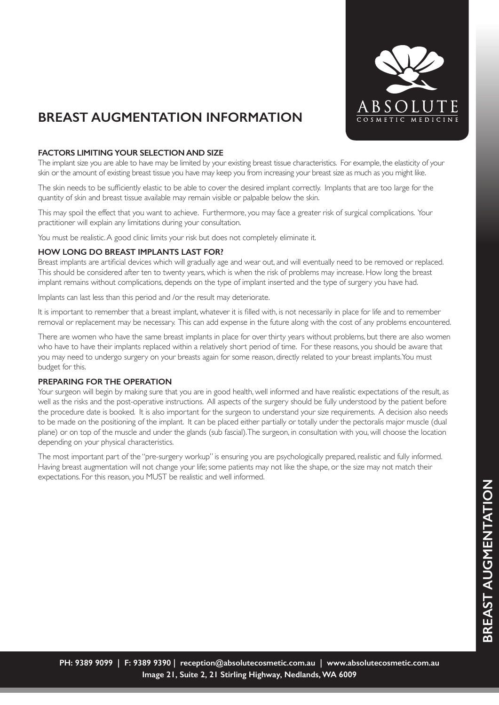

## **BREAST AUGMENTATION INFORMATION**

### **FACTORS LIMITING YOUR SELECTION AND SIZE**

The implant size you are able to have may be limited by your existing breast tissue characteristics. For example, the elasticity of your skin or the amount of existing breast tissue you have may keep you from increasing your breast size as much as you might like.

The skin needs to be sufficiently elastic to be able to cover the desired implant correctly. Implants that are too large for the quantity of skin and breast tissue available may remain visible or palpable below the skin.

This may spoil the effect that you want to achieve. Furthermore, you may face a greater risk of surgical complications. Your practitioner will explain any limitations during your consultation.

You must be realistic. A good clinic limits your risk but does not completely eliminate it.

### **HOW LONG DO BREAST IMPLANTS LAST FOR?**

Breast implants are artificial devices which will gradually age and wear out, and will eventually need to be removed or replaced. This should be considered after ten to twenty years, which is when the risk of problems may increase. How long the breast implant remains without complications, depends on the type of implant inserted and the type of surgery you have had.

Implants can last less than this period and /or the result may deteriorate.

It is important to remember that a breast implant, whatever it is filled with, is not necessarily in place for life and to remember removal or replacement may be necessary. This can add expense in the future along with the cost of any problems encountered.

There are women who have the same breast implants in place for over thirty years without problems, but there are also women who have to have their implants replaced within a relatively short period of time. For these reasons, you should be aware that you may need to undergo surgery on your breasts again for some reason, directly related to your breast implants. You must budget for this.

#### **PREPARING FOR THE OPERATION**

Your surgeon will begin by making sure that you are in good health, well informed and have realistic expectations of the result, as well as the risks and the post-operative instructions. All aspects of the surgery should be fully understood by the patient before the procedure date is booked. It is also important for the surgeon to understand your size requirements. A decision also needs to be made on the positioning of the implant. It can be placed either partially or totally under the pectoralis major muscle (dual plane) or on top of the muscle and under the glands (sub fascial). The surgeon, in consultation with you, will choose the location depending on your physical characteristics.

The most important part of the "pre-surgery workup" is ensuring you are psychologically prepared, realistic and fully informed. Having breast augmentation will not change your life; some patients may not like the shape, or the size may not match their expectations. For this reason, you MUST be realistic and well informed.